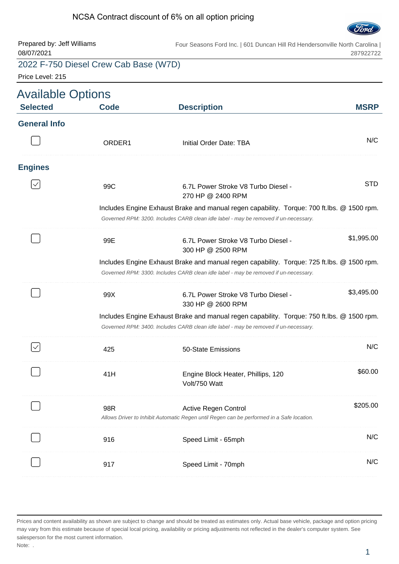#### NCSA Contract discount of 6% on all option pricing



| Prepared by: Jeff Williams<br>08/07/2021    |                                       | Four Seasons Ford Inc.   601 Duncan Hill Rd Hendersonville North Carolina                                                                                                          | 287922722   |
|---------------------------------------------|---------------------------------------|------------------------------------------------------------------------------------------------------------------------------------------------------------------------------------|-------------|
| Price Level: 215                            | 2022 F-750 Diesel Crew Cab Base (W7D) |                                                                                                                                                                                    |             |
| <b>Available Options</b><br><b>Selected</b> | <b>Code</b>                           | <b>Description</b>                                                                                                                                                                 | <b>MSRP</b> |
| <b>General Info</b>                         |                                       |                                                                                                                                                                                    |             |
|                                             | ORDER <sub>1</sub>                    | Initial Order Date: TBA                                                                                                                                                            | N/C         |
| <b>Engines</b>                              |                                       |                                                                                                                                                                                    |             |
|                                             | 99C                                   | 6.7L Power Stroke V8 Turbo Diesel -<br>270 HP @ 2400 RPM                                                                                                                           | <b>STD</b>  |
|                                             |                                       | Includes Engine Exhaust Brake and manual regen capability. Torque: 700 ft.lbs. @ 1500 rpm.<br>Governed RPM: 3200. Includes CARB clean idle label - may be removed if un-necessary. |             |
|                                             | 99E                                   | 6.7L Power Stroke V8 Turbo Diesel -<br>300 HP @ 2500 RPM                                                                                                                           | \$1,995.00  |
|                                             |                                       | Includes Engine Exhaust Brake and manual regen capability. Torque: 725 ft.lbs. @ 1500 rpm.<br>Governed RPM: 3300. Includes CARB clean idle label - may be removed if un-necessary. |             |
|                                             | 99X                                   | 6.7L Power Stroke V8 Turbo Diesel -<br>330 HP @ 2600 RPM                                                                                                                           | \$3,495.00  |
|                                             |                                       | Includes Engine Exhaust Brake and manual regen capability. Torque: 750 ft.lbs. @ 1500 rpm.<br>Governed RPM: 3400. Includes CARB clean idle label - may be removed if un-necessary. |             |
|                                             | 425                                   | 50-State Emissions                                                                                                                                                                 | N/C         |
|                                             | 41H                                   | Engine Block Heater, Phillips, 120<br>Volt/750 Watt                                                                                                                                | \$60.00     |
|                                             | 98R                                   | <b>Active Regen Control</b><br>Allows Driver to Inhibit Automatic Regen until Regen can be performed in a Safe location.                                                           | \$205.00    |
|                                             | 916                                   | Speed Limit - 65mph                                                                                                                                                                | N/C         |
|                                             | 917                                   | Speed Limit - 70mph                                                                                                                                                                | N/C         |

Prices and content availability as shown are subject to change and should be treated as estimates only. Actual base vehicle, package and option pricing may vary from this estimate because of special local pricing, availability or pricing adjustments not reflected in the dealer's computer system. See salesperson for the most current information. Note: .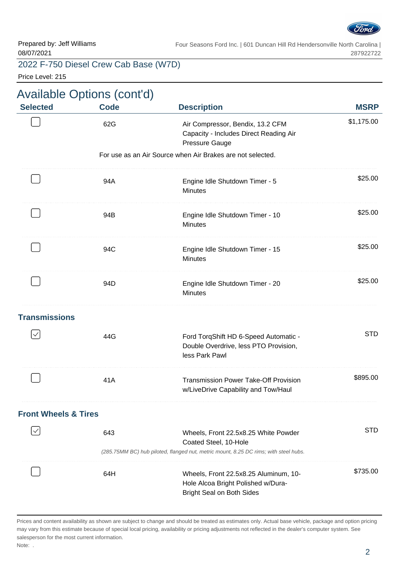

Price Level: 215

|                                 | <b>Available Options (cont'd)</b> |                                                                                                                                                       |             |
|---------------------------------|-----------------------------------|-------------------------------------------------------------------------------------------------------------------------------------------------------|-------------|
| <b>Selected</b>                 | <b>Code</b>                       | <b>Description</b>                                                                                                                                    | <b>MSRP</b> |
|                                 | 62G                               | Air Compressor, Bendix, 13.2 CFM<br>Capacity - Includes Direct Reading Air<br><b>Pressure Gauge</b>                                                   | \$1,175.00  |
|                                 |                                   | For use as an Air Source when Air Brakes are not selected.                                                                                            |             |
|                                 | 94A                               | Engine Idle Shutdown Timer - 5<br><b>Minutes</b>                                                                                                      | \$25.00     |
|                                 | 94B                               | Engine Idle Shutdown Timer - 10<br><b>Minutes</b>                                                                                                     | \$25.00     |
|                                 | 94C                               | Engine Idle Shutdown Timer - 15<br><b>Minutes</b>                                                                                                     | \$25.00     |
|                                 | 94D                               | Engine Idle Shutdown Timer - 20<br><b>Minutes</b>                                                                                                     | \$25.00     |
| <b>Transmissions</b>            |                                   |                                                                                                                                                       |             |
| $\checkmark$                    | 44G                               | Ford TorqShift HD 6-Speed Automatic -<br>Double Overdrive, less PTO Provision,<br>less Park Pawl                                                      | <b>STD</b>  |
|                                 | 41A                               | <b>Transmission Power Take-Off Provision</b><br>w/LiveDrive Capability and Tow/Haul                                                                   | \$895.00    |
| <b>Front Wheels &amp; Tires</b> |                                   |                                                                                                                                                       |             |
|                                 | 643                               | Wheels, Front 22.5x8.25 White Powder<br>Coated Steel, 10-Hole<br>(285.75MM BC) hub piloted, flanged nut, metric mount, 8.25 DC rims; with steel hubs. | <b>STD</b>  |
|                                 | 64H                               | Wheels, Front 22.5x8.25 Aluminum, 10-<br>Hole Alcoa Bright Polished w/Dura-<br><b>Bright Seal on Both Sides</b>                                       | \$735.00    |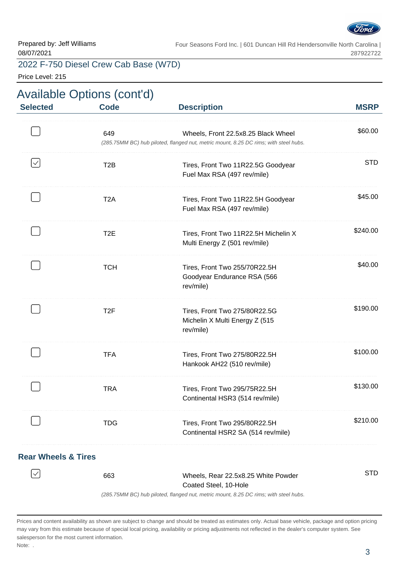

Price Level: 215

| <b>Selected</b> | <b>Code</b>      | <b>Description</b>                                                                                                          | <b>MSRP</b> |
|-----------------|------------------|-----------------------------------------------------------------------------------------------------------------------------|-------------|
|                 | 649              | Wheels, Front 22.5x8.25 Black Wheel<br>(285.75MM BC) hub piloted, flanged nut, metric mount, 8.25 DC rims; with steel hubs. | \$60.00     |
| $\checkmark$    | T <sub>2</sub> B | Tires, Front Two 11R22.5G Goodyear<br>Fuel Max RSA (497 rev/mile)                                                           | <b>STD</b>  |
|                 | T <sub>2</sub> A | Tires, Front Two 11R22.5H Goodyear<br>Fuel Max RSA (497 rev/mile)                                                           | \$45.00     |
|                 | T <sub>2</sub> E | Tires, Front Two 11R22.5H Michelin X<br>Multi Energy Z (501 rev/mile)                                                       | \$240.00    |
|                 | <b>TCH</b>       | Tires, Front Two 255/70R22.5H<br>Goodyear Endurance RSA (566<br>rev/mile)                                                   | \$40.00     |
|                 | T <sub>2</sub> F | Tires, Front Two 275/80R22.5G<br>Michelin X Multi Energy Z (515<br>rev/mile)                                                | \$190.00    |
|                 | <b>TFA</b>       | Tires, Front Two 275/80R22.5H<br>Hankook AH22 (510 rev/mile)                                                                | \$100.00    |
|                 | <b>TRA</b>       | Tires, Front Two 295/75R22.5H<br>Continental HSR3 (514 rev/mile)                                                            | \$130.00    |
|                 | <b>TDG</b>       | Tires, Front Two 295/80R22.5H<br>Continental HSR2 SA (514 rev/mile)                                                         | \$210.00    |
|                 |                  |                                                                                                                             |             |

#### **Rear Wheels & Tires**

| 663 | Wheels, Rear 22.5x8.25 White Powder                                              | STD |
|-----|----------------------------------------------------------------------------------|-----|
|     | Coated Steel, 10-Hole                                                            |     |
|     | (285 75MM RC) bub piloted flanged put metric mount 8.25 DC rims: with steel bubs |     |

(285.75MM BC) hub piloted, flanged nut, metric mount, 8.25 DC rims; with steel hubs.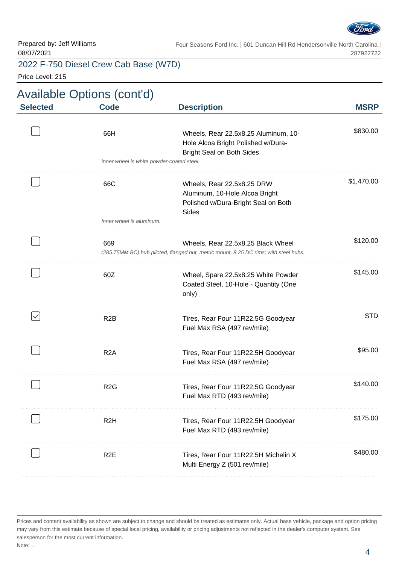

#### 2022 F-750 Diesel Crew Cab Base (W7D)

Price Level: 215

# Available Options (cont'd)

| <b>Selected</b> | <b>Code</b>                               | <b>Description</b>                                                                                                         | <b>MSRP</b> |
|-----------------|-------------------------------------------|----------------------------------------------------------------------------------------------------------------------------|-------------|
|                 | 66H                                       | Wheels, Rear 22.5x8.25 Aluminum, 10-<br>Hole Alcoa Bright Polished w/Dura-<br><b>Bright Seal on Both Sides</b>             | \$830.00    |
|                 | Inner wheel is white powder-coated steel. |                                                                                                                            |             |
|                 | 66C                                       | Wheels, Rear 22.5x8.25 DRW<br>Aluminum, 10-Hole Alcoa Bright<br>Polished w/Dura-Bright Seal on Both<br><b>Sides</b>        | \$1,470.00  |
|                 | Inner wheel is aluminum.                  |                                                                                                                            |             |
|                 | 669                                       | Wheels, Rear 22.5x8.25 Black Wheel<br>(285.75MM BC) hub piloted, flanged nut, metric mount, 8.25 DC rims; with steel hubs. | \$120.00    |
|                 | 60Z                                       | Wheel, Spare 22.5x8.25 White Powder<br>Coated Steel, 10-Hole - Quantity (One<br>only)                                      | \$145.00    |
|                 | R <sub>2</sub> B                          | Tires, Rear Four 11R22.5G Goodyear<br>Fuel Max RSA (497 rev/mile)                                                          | <b>STD</b>  |
|                 | R <sub>2</sub> A                          | Tires, Rear Four 11R22.5H Goodyear<br>Fuel Max RSA (497 rev/mile)                                                          | \$95.00     |
|                 | R <sub>2</sub> G                          | Tires, Rear Four 11R22.5G Goodyear<br>Fuel Max RTD (493 rev/mile)                                                          | \$140.00    |
|                 | R <sub>2</sub> H                          | Tires, Rear Four 11R22.5H Goodyear<br>Fuel Max RTD (493 rev/mile)                                                          | \$175.00    |
|                 | R <sub>2</sub> E                          | Tires, Rear Four 11R22.5H Michelin X<br>Multi Energy Z (501 rev/mile)                                                      | \$480.00    |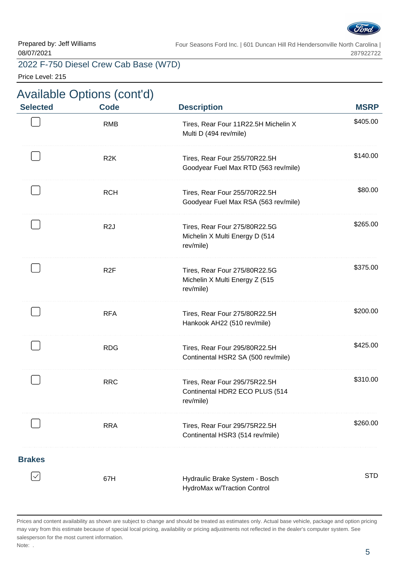

#### 2022 F-750 Diesel Crew Cab Base (W7D)

Price Level: 215

# Available Options (cont'd)

| <b>Selected</b> | <b>Code</b>      | <b>Description</b>                                                           | <b>MSRP</b> |
|-----------------|------------------|------------------------------------------------------------------------------|-------------|
|                 | <b>RMB</b>       | Tires, Rear Four 11R22.5H Michelin X<br>Multi D (494 rev/mile)               | \$405.00    |
|                 | R <sub>2</sub> K | Tires, Rear Four 255/70R22.5H<br>Goodyear Fuel Max RTD (563 rev/mile)        | \$140.00    |
|                 | <b>RCH</b>       | Tires, Rear Four 255/70R22.5H<br>Goodyear Fuel Max RSA (563 rev/mile)        | \$80.00     |
|                 | R <sub>2</sub> J | Tires, Rear Four 275/80R22.5G<br>Michelin X Multi Energy D (514<br>rev/mile) | \$265.00    |
|                 | R <sub>2</sub> F | Tires, Rear Four 275/80R22.5G<br>Michelin X Multi Energy Z (515<br>rev/mile) | \$375.00    |
|                 | <b>RFA</b>       | Tires, Rear Four 275/80R22.5H<br>Hankook AH22 (510 rev/mile)                 | \$200.00    |
|                 | <b>RDG</b>       | Tires, Rear Four 295/80R22.5H<br>Continental HSR2 SA (500 rev/mile)          | \$425.00    |
|                 | <b>RRC</b>       | Tires, Rear Four 295/75R22.5H<br>Continental HDR2 ECO PLUS (514<br>rev/mile) | \$310.00    |
|                 | <b>RRA</b>       | Tires, Rear Four 295/75R22.5H<br>Continental HSR3 (514 rev/mile)             | \$260.00    |
| <b>Brakes</b>   |                  |                                                                              |             |
|                 | 67H              | Hydraulic Brake System - Bosch<br>HydroMax w/Traction Control                | <b>STD</b>  |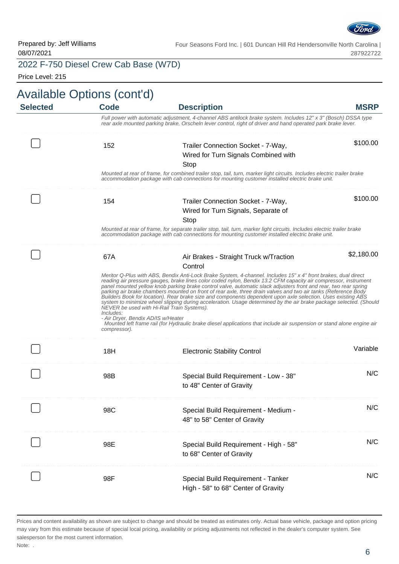

2022 F-750 Diesel Crew Cab Base (W7D)

Price Level: 215

| <b>Selected</b> | <b>Available Options (cont'd)</b><br><b>Code</b>                | <b>Description</b>                                                                                                                                                                                                                                                                                                                                                                                                                                                                                                                                                                                                                                                                                                                                                                                                                                                                    | <b>MSRP</b> |
|-----------------|-----------------------------------------------------------------|---------------------------------------------------------------------------------------------------------------------------------------------------------------------------------------------------------------------------------------------------------------------------------------------------------------------------------------------------------------------------------------------------------------------------------------------------------------------------------------------------------------------------------------------------------------------------------------------------------------------------------------------------------------------------------------------------------------------------------------------------------------------------------------------------------------------------------------------------------------------------------------|-------------|
|                 |                                                                 | Full power with automatic adjustment, 4-channel ABS antilock brake system. Includes 12" x 3" (Bosch) DSSA type<br>rear axle mounted parking brake, Orscheln lever control, right of driver and hand operated park brake lever.                                                                                                                                                                                                                                                                                                                                                                                                                                                                                                                                                                                                                                                        |             |
|                 | 152                                                             | Trailer Connection Socket - 7-Way,                                                                                                                                                                                                                                                                                                                                                                                                                                                                                                                                                                                                                                                                                                                                                                                                                                                    | \$100.00    |
|                 |                                                                 | Wired for Turn Signals Combined with                                                                                                                                                                                                                                                                                                                                                                                                                                                                                                                                                                                                                                                                                                                                                                                                                                                  |             |
|                 |                                                                 | Stop<br>Mounted at rear of frame, for combined trailer stop, tail, turn, marker light circuits. Includes electric trailer brake<br>accommodation package with cab connections for mounting customer installed electric brake unit.                                                                                                                                                                                                                                                                                                                                                                                                                                                                                                                                                                                                                                                    |             |
|                 |                                                                 |                                                                                                                                                                                                                                                                                                                                                                                                                                                                                                                                                                                                                                                                                                                                                                                                                                                                                       | \$100.00    |
|                 | 154                                                             | Trailer Connection Socket - 7-Way,                                                                                                                                                                                                                                                                                                                                                                                                                                                                                                                                                                                                                                                                                                                                                                                                                                                    |             |
|                 |                                                                 | Wired for Turn Signals, Separate of                                                                                                                                                                                                                                                                                                                                                                                                                                                                                                                                                                                                                                                                                                                                                                                                                                                   |             |
|                 |                                                                 | Stop<br>Mounted at rear of frame, for separate trailer stop, tail, turn, marker light circuits. Includes electric trailer brake<br>accommodation package with cab connections for mounting customer installed electric brake unit.                                                                                                                                                                                                                                                                                                                                                                                                                                                                                                                                                                                                                                                    |             |
|                 | 67A                                                             | Air Brakes - Straight Truck w/Traction<br>Control                                                                                                                                                                                                                                                                                                                                                                                                                                                                                                                                                                                                                                                                                                                                                                                                                                     | \$2,180.00  |
|                 | Includes:<br>- Air Dryer, Bendix AD/IS w/Heater<br>compressor). | Meritor Q-Plus with ABS, Bendix Anti-Lock Brake System, 4-channel. Includes 15" x 4" front brakes, dual direct<br>reading air pressure gauges, brake lines color coded nylon, Bendix 13.2 CFM capacity air compressor, instrument<br>panel mounted yellow knob parking brake control valve, automatic slack adjusters front and rear, two rear spring<br>parking air brake chambers mounted on front of rear axle, three drain valves and two air tanks (Reference Body<br>Builders Book for location). Rear brake size and components dependent upon axle selection. Uses existing ABS<br>system to minimize wheel slipping during acceleration. Usage determined by the air brake package selected. (Should<br>NEVER be used with Hi-Rail Train Systems).<br>Mounted left frame rail (for Hydraulic brake diesel applications that include air suspension or stand alone engine air |             |
|                 | 18H                                                             | <b>Electronic Stability Control</b>                                                                                                                                                                                                                                                                                                                                                                                                                                                                                                                                                                                                                                                                                                                                                                                                                                                   | Variable    |
|                 | 98B                                                             | Special Build Requirement - Low - 38"<br>to 48" Center of Gravity                                                                                                                                                                                                                                                                                                                                                                                                                                                                                                                                                                                                                                                                                                                                                                                                                     | N/C         |
|                 | 98C                                                             | Special Build Requirement - Medium -<br>48" to 58" Center of Gravity                                                                                                                                                                                                                                                                                                                                                                                                                                                                                                                                                                                                                                                                                                                                                                                                                  | N/C         |
|                 | 98E                                                             | Special Build Requirement - High - 58"<br>to 68" Center of Gravity                                                                                                                                                                                                                                                                                                                                                                                                                                                                                                                                                                                                                                                                                                                                                                                                                    | N/C         |
|                 | 98F                                                             | Special Build Requirement - Tanker<br>High - 58" to 68" Center of Gravity                                                                                                                                                                                                                                                                                                                                                                                                                                                                                                                                                                                                                                                                                                                                                                                                             | N/C         |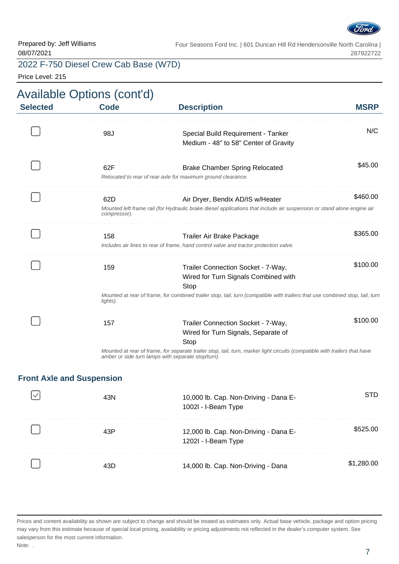

#### 2022 F-750 Diesel Crew Cab Base (W7D)

Price Level: 215

| <b>MSRP</b> | <b>Description</b>                                                                                                                                                                                                 | <b>Available Options (cont'd)</b><br><b>Code</b> | <b>Selected</b> |
|-------------|--------------------------------------------------------------------------------------------------------------------------------------------------------------------------------------------------------------------|--------------------------------------------------|-----------------|
| N/C         | Special Build Requirement - Tanker<br>Medium - 48" to 58" Center of Gravity                                                                                                                                        | 98J                                              |                 |
| \$45.00     | <b>Brake Chamber Spring Relocated</b><br>Relocated to rear of rear axle for maximum ground clearance.                                                                                                              | 62F                                              |                 |
| \$460.00    | Air Dryer, Bendix AD/IS w/Heater<br>Mounted left frame rail (for Hydraulic brake diesel applications that include air suspension or stand alone engine air                                                         | 62D<br>compressor).                              |                 |
| \$365.00    | Trailer Air Brake Package<br>Includes air lines to rear of frame, hand control valve and tractor protection valve.                                                                                                 | 158                                              |                 |
| \$100.00    | Trailer Connection Socket - 7-Way,<br>Wired for Turn Signals Combined with<br>Stop<br>Mounted at rear of frame, for combined trailer stop, tail, turn (compatible with trailers that use combined stop, tail, turn | 159<br>lights).                                  |                 |
| \$100.00    | Trailer Connection Socket - 7-Way,<br>Wired for Turn Signals, Separate of<br>Stop                                                                                                                                  | 157                                              |                 |
|             | Mounted at rear of frame, for separate trailer stop, tail, turn, marker light circuits (compatible with trailers that have<br>amber or side turn lamps with separate stop/turn).                                   |                                                  |                 |

#### **Front Axle and Suspension**

|   | 10,000 lb. Cap. Non-Driving - Dana E-<br>1002l - I-Beam Type |  |
|---|--------------------------------------------------------------|--|
|   | 12,000 lb. Cap. Non-Driving - Dana E-<br>1202I - I-Beam Type |  |
| . | 14,000 lb. Cap. Non-Driving - Dana                           |  |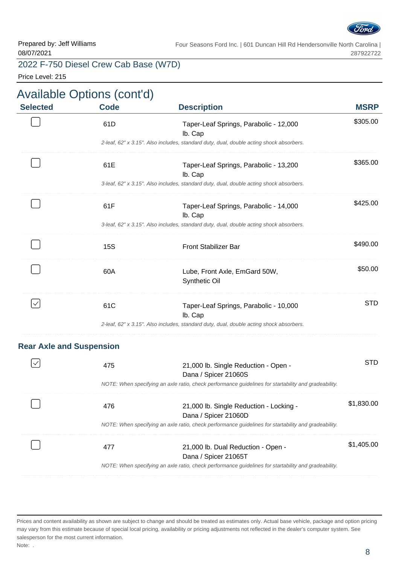

Price Level: 215

| <b>Selected</b>                 | <b>Code</b>                                                                                          | <b>Description</b>                                                                                   | <b>MSRP</b> |  |
|---------------------------------|------------------------------------------------------------------------------------------------------|------------------------------------------------------------------------------------------------------|-------------|--|
|                                 | 61D                                                                                                  | Taper-Leaf Springs, Parabolic - 12,000<br>lb. Cap                                                    | \$305.00    |  |
|                                 |                                                                                                      | 2-leaf, 62" x 3.15". Also includes, standard duty, dual, double acting shock absorbers.              |             |  |
|                                 | 61E                                                                                                  | Taper-Leaf Springs, Parabolic - 13,200<br>lb. Cap                                                    | \$365.00    |  |
|                                 |                                                                                                      | 3-leaf, 62" x 3.15". Also includes, standard duty, dual, double acting shock absorbers.              |             |  |
|                                 | 61F                                                                                                  | Taper-Leaf Springs, Parabolic - 14,000<br>lb. Cap                                                    | \$425.00    |  |
|                                 |                                                                                                      | 3-leaf, 62" x 3.15". Also includes, standard duty, dual, double acting shock absorbers.              |             |  |
|                                 | <b>15S</b>                                                                                           | <b>Front Stabilizer Bar</b>                                                                          | \$490.00    |  |
|                                 | 60A                                                                                                  | Lube, Front Axle, EmGard 50W,<br>Synthetic Oil                                                       | \$50.00     |  |
| $\checkmark$                    | 61C                                                                                                  | Taper-Leaf Springs, Parabolic - 10,000<br>lb. Cap                                                    | <b>STD</b>  |  |
|                                 |                                                                                                      | 2-leaf, 62" x 3.15". Also includes, standard duty, dual, double acting shock absorbers.              |             |  |
| <b>Rear Axle and Suspension</b> |                                                                                                      |                                                                                                      |             |  |
|                                 | 475                                                                                                  | 21,000 lb. Single Reduction - Open -<br>Dana / Spicer 21060S                                         | <b>STD</b>  |  |
|                                 | NOTE: When specifying an axle ratio, check performance guidelines for startability and gradeability. |                                                                                                      |             |  |
|                                 | 476                                                                                                  | 21,000 lb. Single Reduction - Locking -<br>Dana / Spicer 21060D                                      | \$1,830.00  |  |
|                                 |                                                                                                      | NOTE: When specifying an axle ratio, check performance guidelines for startability and gradeability. |             |  |
|                                 | 477                                                                                                  | 21,000 lb. Dual Reduction - Open -<br>Dana / Spicer 21065T                                           | \$1,405.00  |  |
|                                 |                                                                                                      | NOTE: When specifying an axle ratio, check performance guidelines for startability and gradeability. |             |  |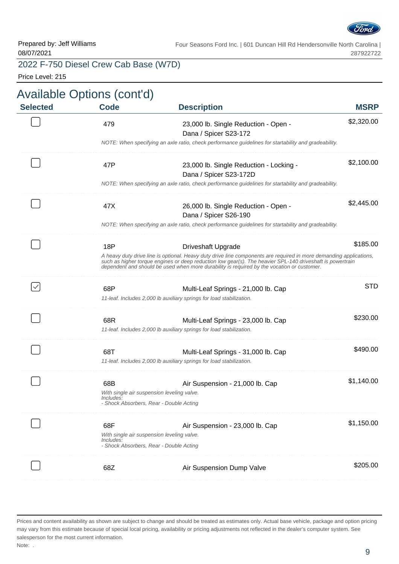

# 2022 F-750 Diesel Crew Cab Base (W7D)

Price Level: 215

| <b>MSRP</b> | <b>Description</b>                                                                                                                                                                                                                                                                                                         | <b>Code</b>                                                           | <b>Selected</b> |
|-------------|----------------------------------------------------------------------------------------------------------------------------------------------------------------------------------------------------------------------------------------------------------------------------------------------------------------------------|-----------------------------------------------------------------------|-----------------|
| \$2,320.00  | 23,000 lb. Single Reduction - Open -<br>Dana / Spicer S23-172                                                                                                                                                                                                                                                              | 479                                                                   |                 |
|             | NOTE: When specifying an axle ratio, check performance guidelines for startability and gradeability.                                                                                                                                                                                                                       |                                                                       |                 |
| \$2,100.00  | 23,000 lb. Single Reduction - Locking -<br>Dana / Spicer S23-172D                                                                                                                                                                                                                                                          | 47P                                                                   |                 |
|             | NOTE: When specifying an axle ratio, check performance guidelines for startability and gradeability.                                                                                                                                                                                                                       |                                                                       |                 |
| \$2,445.00  | 26,000 lb. Single Reduction - Open -<br>Dana / Spicer S26-190                                                                                                                                                                                                                                                              | 47X                                                                   |                 |
|             | NOTE: When specifying an axle ratio, check performance guidelines for startability and gradeability.                                                                                                                                                                                                                       |                                                                       |                 |
| \$185.00    | <b>Driveshaft Upgrade</b>                                                                                                                                                                                                                                                                                                  | 18P                                                                   |                 |
|             | A heavy duty drive line is optional. Heavy duty drive line components are required in more demanding applications, such as higher torque engines or deep reduction low gear(s). The heavier SPL-140 driveshaft is powertrain<br>dependent and should be used when more durability is required by the vocation or customer. |                                                                       |                 |
| <b>STD</b>  | Multi-Leaf Springs - 21,000 lb. Cap                                                                                                                                                                                                                                                                                        | 68P                                                                   | $\checkmark$    |
|             | 11-leaf. Includes 2,000 lb auxiliary springs for load stabilization.                                                                                                                                                                                                                                                       |                                                                       |                 |
| \$230.00    | Multi-Leaf Springs - 23,000 lb. Cap<br>11-leaf. Includes 2,000 lb auxiliary springs for load stabilization.                                                                                                                                                                                                                | 68R                                                                   |                 |
| \$490.00    | Multi-Leaf Springs - 31,000 lb. Cap<br>11-leaf. Includes 2,000 lb auxiliary springs for load stabilization.                                                                                                                                                                                                                | 68T                                                                   |                 |
|             |                                                                                                                                                                                                                                                                                                                            |                                                                       |                 |
| \$1,140.00  | Air Suspension - 21,000 lb. Cap                                                                                                                                                                                                                                                                                            | 68B<br>With single air suspension leveling valve.<br><i>Includes:</i> |                 |
|             |                                                                                                                                                                                                                                                                                                                            | - Shock Absorbers, Rear - Double Acting                               |                 |
| \$1,150.00  | Air Suspension - 23,000 lb. Cap<br>With single air suspension leveling valve.                                                                                                                                                                                                                                              | 68F                                                                   |                 |
|             |                                                                                                                                                                                                                                                                                                                            | Includes:<br>- Shock Absorbers, Rear - Double Acting                  |                 |
| \$205.00    | Air Suspension Dump Valve                                                                                                                                                                                                                                                                                                  | 68Z                                                                   |                 |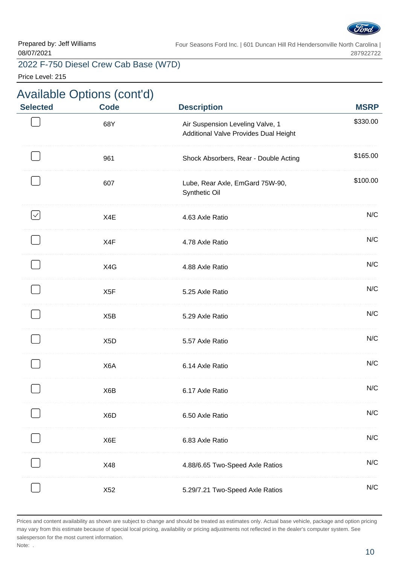

. . . . . . . .

. . . . . . . .

. . . . . . . .

. . . . . . . . .

. . . . . . . . .

Four Seasons Ford Inc. | 601 Duncan Hill Rd Hendersonville North Carolina | 287922722

#### 2022 F-750 Diesel Crew Cab Base (W7D)

Price Level: 215

# Available Options (cont'd) **Selected Code Description MSRP** \$330.00 68Y Air Suspension Leveling Valve, 1 Additional Valve Provides Dual Height 961 Shock Absorbers, Rear - Double Acting \$165.00 . . . . . . . . . . . . . . . \$100.00 607 Lube, Rear Axle, EmGard 75W-90, Synthetic Oil  $\mathord{\vert} \mathord{\vee}$ X4E 4.63 Axle Ratio N/C . . . . . . . . . . . . . . X4F 2.78 Axle Ratio 2.5 Axie Ratio 2.5 Axie Ratio 2.5 Axie Ratio 2.5 Axie Ratio X4G 4.88 Axle Ratio 1986 1997 1998 1999 1999 1999 X5F 5.25 Axle Ratio 3.25 Axle Ratio . . . . . . . . . . X5B 5.29 Axle Ratio N/C X5D 5.57 Axle Ratio 3.57 Axle Ratio 3.57 Axle Ratio 3.57 Axle Ratio 3.57 Axle Ratio 3.57 Axle Ratio 3.57 Axle Ratio X6A 6.14 Axle Ratio N/C X6B 6.17 Axle Ratio N/C X6D 6.50 Axle Ratio N/C X6E 6.83 Axle Ratio N/C X48 4.88/6.65 Two-Speed Axle Ratios N/C

X52 5.29/7.21 Two-Speed Axle Ratios N/C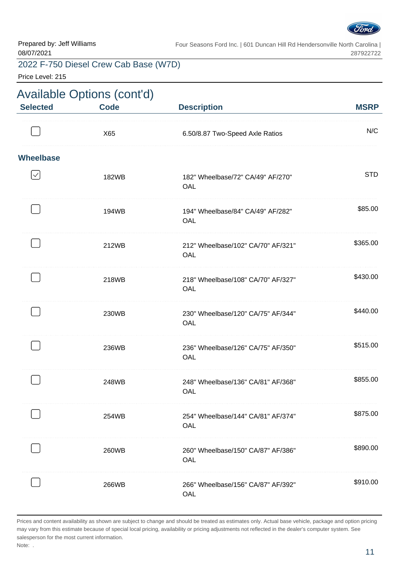

Price Level: 215

| <b>Available Options (cont'd)</b> |             |                                           |             |  |
|-----------------------------------|-------------|-------------------------------------------|-------------|--|
| <b>Selected</b>                   | <b>Code</b> | <b>Description</b>                        | <b>MSRP</b> |  |
|                                   | X65         | 6.50/8.87 Two-Speed Axle Ratios           | N/C         |  |
| <b>Wheelbase</b>                  |             |                                           |             |  |
| $\checkmark$                      | 182WB       | 182" Wheelbase/72" CA/49" AF/270"<br>OAL  | <b>STD</b>  |  |
|                                   | 194WB       | 194" Wheelbase/84" CA/49" AF/282"<br>OAL  | \$85.00     |  |
|                                   | 212WB       | 212" Wheelbase/102" CA/70" AF/321"<br>OAL | \$365.00    |  |
|                                   | 218WB       | 218" Wheelbase/108" CA/70" AF/327"<br>OAL | \$430.00    |  |
|                                   | 230WB       | 230" Wheelbase/120" CA/75" AF/344"<br>OAL | \$440.00    |  |
|                                   | 236WB       | 236" Wheelbase/126" CA/75" AF/350"<br>OAL | \$515.00    |  |
|                                   | 248WB       | 248" Wheelbase/136" CA/81" AF/368"<br>OAL | \$855.00    |  |
|                                   | 254WB       | 254" Wheelbase/144" CA/81" AF/374"<br>OAL | \$875.00    |  |
|                                   | 260WB       | 260" Wheelbase/150" CA/87" AF/386"<br>OAL | \$890.00    |  |
|                                   | 266WB       | 266" Wheelbase/156" CA/87" AF/392"<br>OAL | \$910.00    |  |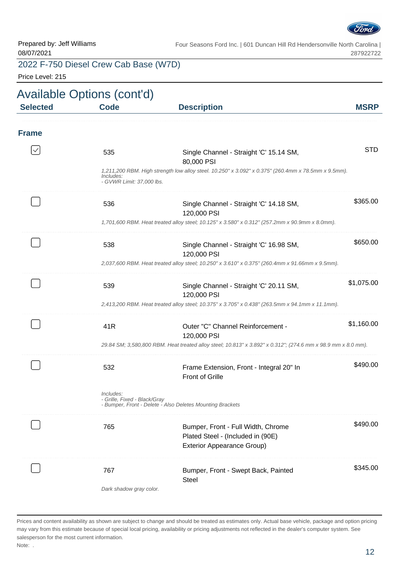

### 2022 F-750 Diesel Crew Cab Base (W7D)

Price Level: 215

|                 | <b>Available Options (cont'd)</b>         |                                                                                                              |             |
|-----------------|-------------------------------------------|--------------------------------------------------------------------------------------------------------------|-------------|
| <b>Selected</b> | <b>Code</b>                               | <b>Description</b>                                                                                           | <b>MSRP</b> |
| <b>Frame</b>    |                                           |                                                                                                              |             |
|                 | 535                                       | Single Channel - Straight 'C' 15.14 SM,<br>80,000 PSI                                                        | <b>STD</b>  |
|                 | Includes:<br>- GVWR Limit: 37,000 lbs.    | 1,211,200 RBM. High strength low alloy steel. 10.250" x 3.092" x 0.375" (260.4mm x 78.5mm x 9.5mm).          |             |
|                 | 536                                       | Single Channel - Straight 'C' 14.18 SM,<br>120,000 PSI                                                       | \$365.00    |
|                 |                                           | 1,701,600 RBM. Heat treated alloy steel; 10.125" x 3.580" x 0.312" (257.2mm x 90.9mm x 8.0mm).               |             |
|                 | 538                                       | Single Channel - Straight 'C' 16.98 SM,<br>120,000 PSI                                                       | \$650.00    |
|                 |                                           | 2,037,600 RBM. Heat treated alloy steel; 10.250" x 3.610" x 0.375" (260.4mm x 91.66mm x 9.5mm).              |             |
|                 | 539                                       | Single Channel - Straight 'C' 20.11 SM,<br>120,000 PSI                                                       | \$1,075.00  |
|                 |                                           | 2,413,200 RBM. Heat treated alloy steel; 10.375" x 3.705" x 0.438" (263.5mm x 94.1mm x 11.1mm).              |             |
|                 | 41 <sub>R</sub>                           | Outer "C" Channel Reinforcement -<br>120,000 PSI                                                             | \$1,160.00  |
|                 |                                           | 29.84 SM; 3,580,800 RBM. Heat treated alloy steel; 10.813" x 3.892" x 0.312"; (274.6 mm x 98.9 mm x 8.0 mm). |             |
|                 | 532                                       | Frame Extension, Front - Integral 20" In<br><b>Front of Grille</b>                                           | \$490.00    |
|                 | Includes:<br>- Grille, Fixed - Black/Gray | - Bumper, Front - Delete - Also Deletes Mounting Brackets                                                    |             |
|                 | 765                                       | Bumper, Front - Full Width, Chrome<br>Plated Steel - (Included in (90E)                                      | \$490.00    |
|                 |                                           | <b>Exterior Appearance Group)</b>                                                                            |             |
|                 | 767                                       | Bumper, Front - Swept Back, Painted                                                                          | \$345.00    |
|                 | Dark shadow gray color.                   | <b>Steel</b>                                                                                                 |             |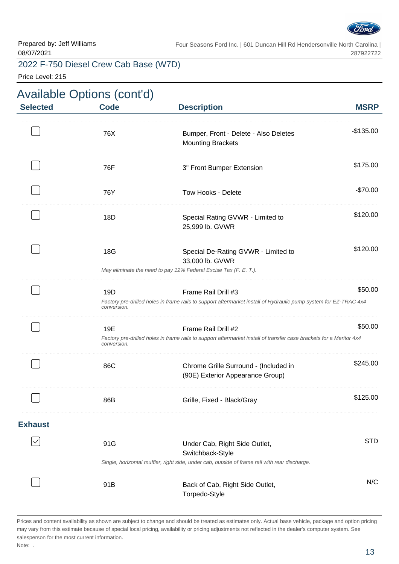

Price Level: 215

| <b>Selected</b> | <b>Code</b>        | <b>Description</b>                                                                                                                                 | <b>MSRP</b> |
|-----------------|--------------------|----------------------------------------------------------------------------------------------------------------------------------------------------|-------------|
|                 | 76X                | Bumper, Front - Delete - Also Deletes<br><b>Mounting Brackets</b>                                                                                  | $-$135.00$  |
|                 | 76F                | 3" Front Bumper Extension                                                                                                                          | \$175.00    |
|                 | 76Y                | Tow Hooks - Delete                                                                                                                                 | $-$70.00$   |
|                 | 18D                | Special Rating GVWR - Limited to<br>25,999 lb. GVWR                                                                                                | \$120.00    |
|                 | 18G                | Special De-Rating GVWR - Limited to<br>33,000 lb. GVWR<br>May eliminate the need to pay 12% Federal Excise Tax (F. E. T.).                         | \$120.00    |
|                 | 19D<br>conversion. | Frame Rail Drill #3<br>Factory pre-drilled holes in frame rails to support aftermarket install of Hydraulic pump system for EZ-TRAC 4x4            | \$50.00     |
|                 | 19E<br>conversion. | Frame Rail Drill #2<br>Factory pre-drilled holes in frame rails to support aftermarket install of transfer case brackets for a Meritor 4x4         | \$50.00     |
|                 | 86C                | Chrome Grille Surround - (Included in<br>(90E) Exterior Appearance Group)                                                                          | \$245.00    |
|                 | 86B                | Grille, Fixed - Black/Gray                                                                                                                         | \$125.00    |
| <b>Exhaust</b>  |                    |                                                                                                                                                    |             |
|                 | 91G                | Under Cab, Right Side Outlet,<br>Switchback-Style<br>Single, horizontal muffler, right side, under cab, outside of frame rail with rear discharge. | <b>STD</b>  |
|                 | 91B                | Back of Cab, Right Side Outlet,<br>Torpedo-Style                                                                                                   | N/C         |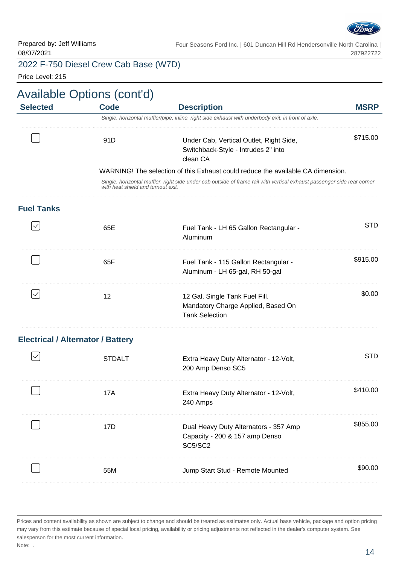

Prepared by: Jeff Williams 08/07/2021

Four Seasons Ford Inc. | 601 Duncan Hill Rd Hendersonville North Carolina | 287922722

#### 2022 F-750 Diesel Crew Cab Base (W7D)

Price Level: 215

| <b>Selected</b>                          | <b>Code</b>                        | <b>Description</b>                                                                                                      | <b>MSRP</b> |
|------------------------------------------|------------------------------------|-------------------------------------------------------------------------------------------------------------------------|-------------|
|                                          |                                    | Single, horizontal muffler/pipe, inline, right side exhaust with underbody exit, in front of axle.                      |             |
|                                          | 91D                                | Under Cab, Vertical Outlet, Right Side,<br>Switchback-Style - Intrudes 2" into<br>clean CA                              | \$715.00    |
|                                          |                                    | WARNING! The selection of this Exhaust could reduce the available CA dimension.                                         |             |
|                                          | with heat shield and turnout exit. | Single, horizontal muffler, right side under cab outside of frame rail with vertical exhaust passenger side rear corner |             |
| <b>Fuel Tanks</b>                        |                                    |                                                                                                                         |             |
|                                          | 65E                                | Fuel Tank - LH 65 Gallon Rectangular -<br>Aluminum                                                                      | <b>STD</b>  |
|                                          | 65F                                | Fuel Tank - 115 Gallon Rectangular -<br>Aluminum - LH 65-gal, RH 50-gal                                                 | \$915.00    |
| $\checkmark$                             | 12                                 | 12 Gal. Single Tank Fuel Fill.<br>Mandatory Charge Applied, Based On<br><b>Tank Selection</b>                           | \$0.00      |
| <b>Electrical / Alternator / Battery</b> |                                    |                                                                                                                         |             |
|                                          | <b>STDALT</b>                      | Extra Heavy Duty Alternator - 12-Volt,<br>200 Amp Denso SC5                                                             | <b>STD</b>  |
|                                          | 17A                                | Extra Heavy Duty Alternator - 12-Volt,<br>240 Amps                                                                      | \$410.00    |
|                                          | 17D                                | Dual Heavy Duty Alternators - 357 Amp<br>Capacity - 200 & 157 amp Denso<br>SC5/SC2                                      | \$855.00    |
|                                          | 55M                                | Jump Start Stud - Remote Mounted                                                                                        | \$90.00     |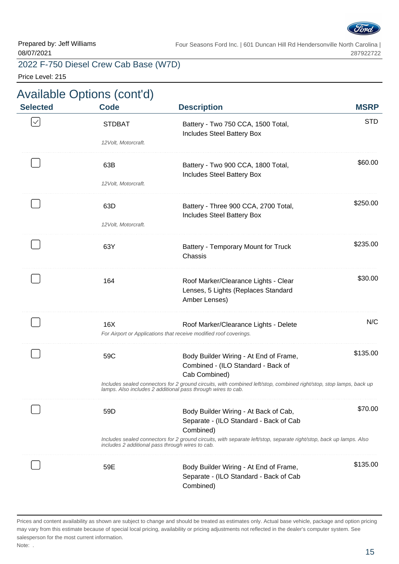

#### 2022 F-750 Diesel Crew Cab Base (W7D)

Price Level: 215

#### Available Options (cont'd) **Selected Code Description MSRP STD**  $\checkmark$ STDBAT Battery - Two 750 CCA, 1500 Total, Includes Steel Battery Box 12Volt, Motorcraft. \$60.00 63B Battery - Two 900 CCA, 1800 Total, Includes Steel Battery Box 12Volt, Motorcraft. . . . . . . . . . . . . . . . . \$250.00 63D Battery - Three 900 CCA, 2700 Total, Includes Steel Battery Box 12Volt, Motorcraft. \$235.00 63Y Battery - Temporary Mount for Truck Chassis . . . . . . . . . . . . . . . . \$30.00 164 Roof Marker/Clearance Lights - Clear Lenses, 5 Lights (Replaces Standard Amber Lenses) 16X Roof Marker/Clearance Lights - Delete N/C For Airport or Applications that receive modified roof coverings. \$135.00 59C Body Builder Wiring - At End of Frame, Combined - (ILO Standard - Back of Cab Combined) Includes sealed connectors for 2 ground circuits, with combined left/stop, combined right/stop, stop lamps, back up lamps. Also includes 2 additional pass through wires to cab. \$70.00 59D Body Builder Wiring - At Back of Cab, Separate - (ILO Standard - Back of Cab Combined) Includes sealed connectors for 2 ground circuits, with separate left/stop, separate right/stop, back up lamps. Also includes 2 additional pass through wires to cab. \$135.00 59E Body Builder Wiring - At End of Frame, Separate - (ILO Standard - Back of Cab Combined)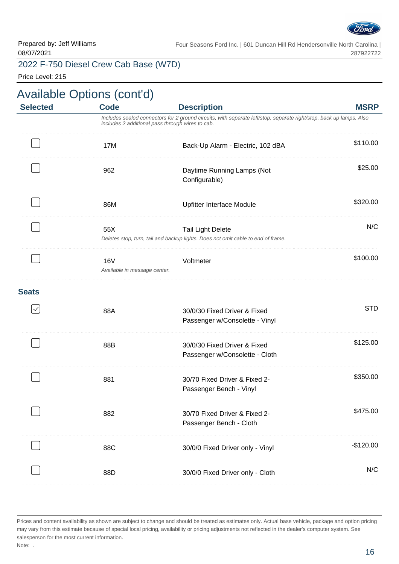

#### 2022 F-750 Diesel Crew Cab Base (W7D)

Price Level: 215

|                 | <b>Available Options (cont'd)</b>          |                                                                                                                                                                                               |             |
|-----------------|--------------------------------------------|-----------------------------------------------------------------------------------------------------------------------------------------------------------------------------------------------|-------------|
| <b>Selected</b> | <b>Code</b>                                | <b>Description</b><br>Includes sealed connectors for 2 ground circuits, with separate left/stop, separate right/stop, back up lamps. Also<br>includes 2 additional pass through wires to cab. | <b>MSRP</b> |
|                 | 17M                                        | Back-Up Alarm - Electric, 102 dBA                                                                                                                                                             | \$110.00    |
|                 | 962                                        | Daytime Running Lamps (Not<br>Configurable)                                                                                                                                                   | \$25.00     |
|                 | 86M                                        | Upfitter Interface Module                                                                                                                                                                     | \$320.00    |
|                 | 55X                                        | <b>Tail Light Delete</b><br>Deletes stop, turn, tail and backup lights. Does not omit cable to end of frame.                                                                                  | N/C         |
|                 | <b>16V</b><br>Available in message center. | Voltmeter                                                                                                                                                                                     | \$100.00    |
| <b>Seats</b>    |                                            |                                                                                                                                                                                               |             |
|                 | 88A                                        | 30/0/30 Fixed Driver & Fixed<br>Passenger w/Consolette - Vinyl                                                                                                                                | <b>STD</b>  |
|                 | 88B                                        | 30/0/30 Fixed Driver & Fixed<br>Passenger w/Consolette - Cloth                                                                                                                                | \$125.00    |
|                 | 881                                        | 30/70 Fixed Driver & Fixed 2-<br>Passenger Bench - Vinyl                                                                                                                                      | \$350.00    |
|                 | 882                                        | 30/70 Fixed Driver & Fixed 2-<br>Passenger Bench - Cloth                                                                                                                                      | \$475.00    |
|                 | 88C                                        | 30/0/0 Fixed Driver only - Vinyl                                                                                                                                                              | $-$120.00$  |
|                 | 88D                                        | 30/0/0 Fixed Driver only - Cloth                                                                                                                                                              | N/C         |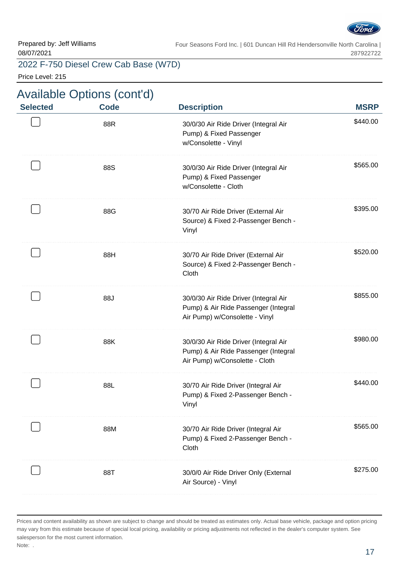

#### 2022 F-750 Diesel Crew Cab Base (W7D)

Price Level: 215

# Available Options (cont'd)

| <b>Selected</b> | <b>Code</b> | <b>Description</b>                                                                                              | <b>MSRP</b> |
|-----------------|-------------|-----------------------------------------------------------------------------------------------------------------|-------------|
|                 | 88R         | 30/0/30 Air Ride Driver (Integral Air<br>Pump) & Fixed Passenger<br>w/Consolette - Vinyl                        | \$440.00    |
|                 | 88S         | 30/0/30 Air Ride Driver (Integral Air<br>Pump) & Fixed Passenger<br>w/Consolette - Cloth                        | \$565.00    |
|                 | 88G         | 30/70 Air Ride Driver (External Air<br>Source) & Fixed 2-Passenger Bench -<br>Vinyl                             | \$395.00    |
|                 | 88H         | 30/70 Air Ride Driver (External Air<br>Source) & Fixed 2-Passenger Bench -<br>Cloth                             | \$520.00    |
|                 | 88J         | 30/0/30 Air Ride Driver (Integral Air<br>Pump) & Air Ride Passenger (Integral<br>Air Pump) w/Consolette - Vinyl | \$855.00    |
|                 | 88K         | 30/0/30 Air Ride Driver (Integral Air<br>Pump) & Air Ride Passenger (Integral<br>Air Pump) w/Consolette - Cloth | \$980.00    |
|                 | 88L         | 30/70 Air Ride Driver (Integral Air<br>Pump) & Fixed 2-Passenger Bench -<br>Vinyl                               | \$440.00    |
|                 | 88M         | 30/70 Air Ride Driver (Integral Air<br>Pump) & Fixed 2-Passenger Bench -<br>Cloth                               | \$565.00    |
|                 | 88T         | 30/0/0 Air Ride Driver Only (External<br>Air Source) - Vinyl                                                    | \$275.00    |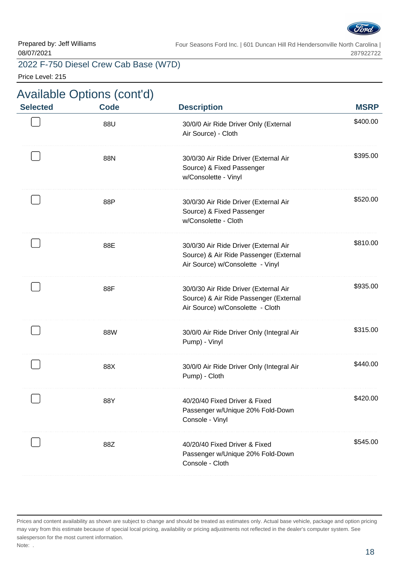

#### 2022 F-750 Diesel Crew Cab Base (W7D)

Price Level: 215

| <b>Selected</b> | <b>Available Options (cont'd)</b><br><b>Code</b> | <b>Description</b>                                                                                                  | <b>MSRP</b> |
|-----------------|--------------------------------------------------|---------------------------------------------------------------------------------------------------------------------|-------------|
|                 | 88U                                              | 30/0/0 Air Ride Driver Only (External<br>Air Source) - Cloth                                                        | \$400.00    |
|                 | 88N                                              | 30/0/30 Air Ride Driver (External Air<br>Source) & Fixed Passenger<br>w/Consolette - Vinyl                          | \$395.00    |
|                 | 88P                                              | 30/0/30 Air Ride Driver (External Air<br>Source) & Fixed Passenger<br>w/Consolette - Cloth                          | \$520.00    |
|                 | 88E                                              | 30/0/30 Air Ride Driver (External Air<br>Source) & Air Ride Passenger (External<br>Air Source) w/Consolette - Vinyl | \$810.00    |
|                 | 88F                                              | 30/0/30 Air Ride Driver (External Air<br>Source) & Air Ride Passenger (External<br>Air Source) w/Consolette - Cloth | \$935.00    |
|                 | 88W                                              | 30/0/0 Air Ride Driver Only (Integral Air<br>Pump) - Vinyl                                                          | \$315.00    |
|                 | 88X                                              | 30/0/0 Air Ride Driver Only (Integral Air<br>Pump) - Cloth                                                          | \$440.00    |
|                 | 88Y                                              | 40/20/40 Fixed Driver & Fixed<br>Passenger w/Unique 20% Fold-Down<br>Console - Vinyl                                | \$420.00    |
|                 | 88Z                                              | 40/20/40 Fixed Driver & Fixed<br>Passenger w/Unique 20% Fold-Down<br>Console - Cloth                                | \$545.00    |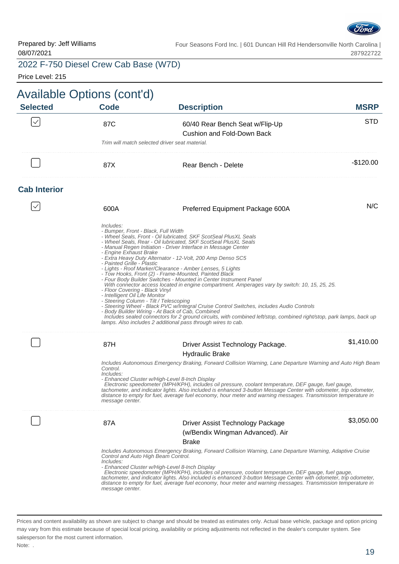

287922722

#### 2022 F-750 Diesel Crew Cab Base (W7D)

Price Level: 215

| <b>Code</b>                              | <b>Description</b>                                                   | <b>MSRP</b>                                                                                                                                                                                                                                                                                                                                                                                                                                                                                                                                                                                                                                                                                                                                                                                                                                                                                                                                                                                                                                                                                                                                                                                                                                                                                                                                                                                                                                                                                                                                                                                                                                                                                                                                                                                                                                                                                                                                                                                                                                                                                                                                                                                                                                                                                                   |
|------------------------------------------|----------------------------------------------------------------------|---------------------------------------------------------------------------------------------------------------------------------------------------------------------------------------------------------------------------------------------------------------------------------------------------------------------------------------------------------------------------------------------------------------------------------------------------------------------------------------------------------------------------------------------------------------------------------------------------------------------------------------------------------------------------------------------------------------------------------------------------------------------------------------------------------------------------------------------------------------------------------------------------------------------------------------------------------------------------------------------------------------------------------------------------------------------------------------------------------------------------------------------------------------------------------------------------------------------------------------------------------------------------------------------------------------------------------------------------------------------------------------------------------------------------------------------------------------------------------------------------------------------------------------------------------------------------------------------------------------------------------------------------------------------------------------------------------------------------------------------------------------------------------------------------------------------------------------------------------------------------------------------------------------------------------------------------------------------------------------------------------------------------------------------------------------------------------------------------------------------------------------------------------------------------------------------------------------------------------------------------------------------------------------------------------------|
| 87C                                      | 60/40 Rear Bench Seat w/Flip-Up<br><b>Cushion and Fold-Down Back</b> | <b>STD</b>                                                                                                                                                                                                                                                                                                                                                                                                                                                                                                                                                                                                                                                                                                                                                                                                                                                                                                                                                                                                                                                                                                                                                                                                                                                                                                                                                                                                                                                                                                                                                                                                                                                                                                                                                                                                                                                                                                                                                                                                                                                                                                                                                                                                                                                                                                    |
|                                          |                                                                      |                                                                                                                                                                                                                                                                                                                                                                                                                                                                                                                                                                                                                                                                                                                                                                                                                                                                                                                                                                                                                                                                                                                                                                                                                                                                                                                                                                                                                                                                                                                                                                                                                                                                                                                                                                                                                                                                                                                                                                                                                                                                                                                                                                                                                                                                                                               |
| 87X                                      | Rear Bench - Delete                                                  | $-$120.00$                                                                                                                                                                                                                                                                                                                                                                                                                                                                                                                                                                                                                                                                                                                                                                                                                                                                                                                                                                                                                                                                                                                                                                                                                                                                                                                                                                                                                                                                                                                                                                                                                                                                                                                                                                                                                                                                                                                                                                                                                                                                                                                                                                                                                                                                                                    |
|                                          |                                                                      |                                                                                                                                                                                                                                                                                                                                                                                                                                                                                                                                                                                                                                                                                                                                                                                                                                                                                                                                                                                                                                                                                                                                                                                                                                                                                                                                                                                                                                                                                                                                                                                                                                                                                                                                                                                                                                                                                                                                                                                                                                                                                                                                                                                                                                                                                                               |
| 600A                                     | Preferred Equipment Package 600A                                     | N/C                                                                                                                                                                                                                                                                                                                                                                                                                                                                                                                                                                                                                                                                                                                                                                                                                                                                                                                                                                                                                                                                                                                                                                                                                                                                                                                                                                                                                                                                                                                                                                                                                                                                                                                                                                                                                                                                                                                                                                                                                                                                                                                                                                                                                                                                                                           |
| Includes:                                |                                                                      |                                                                                                                                                                                                                                                                                                                                                                                                                                                                                                                                                                                                                                                                                                                                                                                                                                                                                                                                                                                                                                                                                                                                                                                                                                                                                                                                                                                                                                                                                                                                                                                                                                                                                                                                                                                                                                                                                                                                                                                                                                                                                                                                                                                                                                                                                                               |
| 87H                                      | Driver Assist Technology Package.                                    | \$1,410.00                                                                                                                                                                                                                                                                                                                                                                                                                                                                                                                                                                                                                                                                                                                                                                                                                                                                                                                                                                                                                                                                                                                                                                                                                                                                                                                                                                                                                                                                                                                                                                                                                                                                                                                                                                                                                                                                                                                                                                                                                                                                                                                                                                                                                                                                                                    |
|                                          | <b>Hydraulic Brake</b>                                               |                                                                                                                                                                                                                                                                                                                                                                                                                                                                                                                                                                                                                                                                                                                                                                                                                                                                                                                                                                                                                                                                                                                                                                                                                                                                                                                                                                                                                                                                                                                                                                                                                                                                                                                                                                                                                                                                                                                                                                                                                                                                                                                                                                                                                                                                                                               |
| Control.<br>Includes:<br>message center. |                                                                      |                                                                                                                                                                                                                                                                                                                                                                                                                                                                                                                                                                                                                                                                                                                                                                                                                                                                                                                                                                                                                                                                                                                                                                                                                                                                                                                                                                                                                                                                                                                                                                                                                                                                                                                                                                                                                                                                                                                                                                                                                                                                                                                                                                                                                                                                                                               |
| 87A                                      |                                                                      | \$3,050.00                                                                                                                                                                                                                                                                                                                                                                                                                                                                                                                                                                                                                                                                                                                                                                                                                                                                                                                                                                                                                                                                                                                                                                                                                                                                                                                                                                                                                                                                                                                                                                                                                                                                                                                                                                                                                                                                                                                                                                                                                                                                                                                                                                                                                                                                                                    |
|                                          | (w/Bendix Wingman Advanced). Air                                     |                                                                                                                                                                                                                                                                                                                                                                                                                                                                                                                                                                                                                                                                                                                                                                                                                                                                                                                                                                                                                                                                                                                                                                                                                                                                                                                                                                                                                                                                                                                                                                                                                                                                                                                                                                                                                                                                                                                                                                                                                                                                                                                                                                                                                                                                                                               |
|                                          | <b>Brake</b>                                                         |                                                                                                                                                                                                                                                                                                                                                                                                                                                                                                                                                                                                                                                                                                                                                                                                                                                                                                                                                                                                                                                                                                                                                                                                                                                                                                                                                                                                                                                                                                                                                                                                                                                                                                                                                                                                                                                                                                                                                                                                                                                                                                                                                                                                                                                                                                               |
| Includes:<br>message center.             |                                                                      |                                                                                                                                                                                                                                                                                                                                                                                                                                                                                                                                                                                                                                                                                                                                                                                                                                                                                                                                                                                                                                                                                                                                                                                                                                                                                                                                                                                                                                                                                                                                                                                                                                                                                                                                                                                                                                                                                                                                                                                                                                                                                                                                                                                                                                                                                                               |
|                                          |                                                                      | Available Options (cont'd)<br>Trim will match selected driver seat material.<br>- Bumper, Front - Black, Full Width<br>- Wheel Seals, Front - Oil lubricated, SKF ScotSeal PlusXL Seals<br>- Wheel Seals, Rear - Oil lubricated, SKF ScotSeal PlusXL Seals<br>- Manual Regen Initiation - Driver Interface in Message Center<br>- Engine Exhaust Brake<br>- Extra Heavy Duty Alternator - 12-Volt, 200 Amp Denso SC5<br>- Painted Grille - Plastic<br>- Lights - Roof Marker/Clearance - Amber Lenses, 5 Lights<br>- Tow Hooks, Front (2) - Frame-Mounted, Painted Black<br>- Four Body Builder Switches - Mounted in Center Instrument Panel<br>With connector access located in engine compartment. Amperages vary by switch: 10, 15, 25, 25.<br>- Floor Covering - Black Vinyl<br>- Intelligent Oil Life Monitor<br>- Steering Column - Tilt / Telescoping<br>- Steering Wheel - Black PVC w/Integral Cruise Control Switches, includes Audio Controls<br>- Body Builder Wiring - At Back of Cab, Combined<br>Includes sealed connectors for 2 ground circuits, with combined left/stop, combined right/stop, park lamps, back up<br>lamps. Also includes 2 additional pass through wires to cab.<br>Includes Autonomous Emergency Braking, Forward Collision Warning, Lane Departure Warning and Auto High Beam<br>- Enhanced Cluster w/High-Level 8-Inch Display<br>Electronic speedometer (MPH/KPH), includes oil pressure, coolant temperature, DEF gauge, fuel gauge,<br>tachometer, and indicator lights. Also included is enhanced 3-button Message Center with odometer, trip odometer,<br>distance to empty for fuel, average fuel economy, hour meter and warning messages. Transmission temperature in<br>Driver Assist Technology Package<br>Includes Autonomous Emergency Braking, Forward Collision Warning, Lane Departure Warning, Adaptive Cruise<br>Control and Auto High Beam Control.<br>- Enhanced Cluster w/High-Level 8-Inch Display<br>Electronic speedometer (MPH/KPH), includes oil pressure, coolant temperature, DEF gauge, fuel gauge,<br>tachometer, and indicator lights. Also included is enhanced 3-button Message Center with odometer, trip odometer,<br>distance to empty for fuel, average fuel economy, hour meter and warning messages. Transmission temperature in |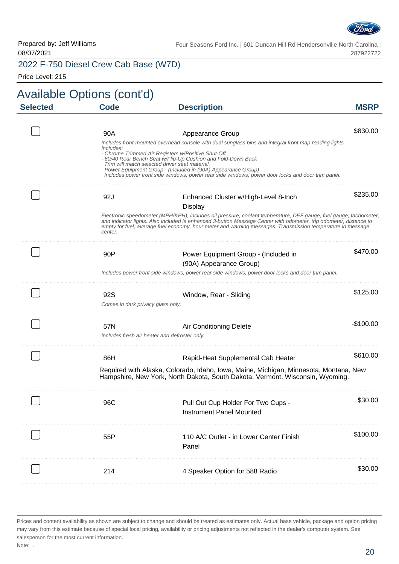

#### 2022 F-750 Diesel Crew Cab Base (W7D)

Price Level: 215

| <b>Selected</b> | <b>Code</b>                              | <b>Description</b>                                                                                                                                                                                                                                                                                                                                  | <b>MSRP</b> |
|-----------------|------------------------------------------|-----------------------------------------------------------------------------------------------------------------------------------------------------------------------------------------------------------------------------------------------------------------------------------------------------------------------------------------------------|-------------|
|                 | 90A                                      | Appearance Group                                                                                                                                                                                                                                                                                                                                    | \$830.00    |
|                 |                                          | Includes front-mounted overhead console with dual sunglass bins and integral front map reading lights.                                                                                                                                                                                                                                              |             |
|                 | Includes:                                | - Chrome Trimmed Air Registers w/Positive Shut-Off<br>- 60/40 Rear Bench Seat w/Flip-Up Cushion and Fold-Down Back<br>Trim will match selected driver seat material.<br>- Power Equipment Group - (Included in (90A) Appearance Group)<br>Includes power front side windows, power rear side windows, power door locks and door trim panel.         |             |
|                 | 92J                                      |                                                                                                                                                                                                                                                                                                                                                     | \$235.00    |
|                 |                                          | Enhanced Cluster w/High-Level 8-Inch<br>Display                                                                                                                                                                                                                                                                                                     |             |
|                 | center.                                  | Electronic speedometer (MPH/KPH), includes oil pressure, coolant temperature, DEF gauge, fuel gauge, tachometer,<br>and indicator lights. Also included is enhanced 3-button Message Center with odometer, trip odometer, distance to<br>empty for fuel, average fuel economy, hour meter and warning messages. Transmission temperature in message |             |
|                 | 90P                                      | Power Equipment Group - (Included in                                                                                                                                                                                                                                                                                                                | \$470.00    |
|                 |                                          | (90A) Appearance Group)                                                                                                                                                                                                                                                                                                                             |             |
|                 |                                          | Includes power front side windows, power rear side windows, power door locks and door trim panel.                                                                                                                                                                                                                                                   |             |
|                 | 92S<br>Comes in dark privacy glass only. | Window, Rear - Sliding                                                                                                                                                                                                                                                                                                                              | \$125.00    |
|                 | 57N                                      | Air Conditioning Delete<br>Includes fresh air heater and defroster only.                                                                                                                                                                                                                                                                            | $-$100.00$  |
|                 | 86H                                      | Rapid-Heat Supplemental Cab Heater                                                                                                                                                                                                                                                                                                                  | \$610.00    |
|                 |                                          | Required with Alaska, Colorado, Idaho, Iowa, Maine, Michigan, Minnesota, Montana, New<br>Hampshire, New York, North Dakota, South Dakota, Vermont, Wisconsin, Wyoming.                                                                                                                                                                              |             |
|                 | 96C                                      | Pull Out Cup Holder For Two Cups -                                                                                                                                                                                                                                                                                                                  | \$30.00     |
|                 |                                          | <b>Instrument Panel Mounted</b>                                                                                                                                                                                                                                                                                                                     |             |
|                 | 55P                                      | 110 A/C Outlet - in Lower Center Finish<br>Panel                                                                                                                                                                                                                                                                                                    | \$100.00    |
|                 | 214                                      | 4 Speaker Option for 588 Radio                                                                                                                                                                                                                                                                                                                      | \$30.00     |
|                 |                                          |                                                                                                                                                                                                                                                                                                                                                     |             |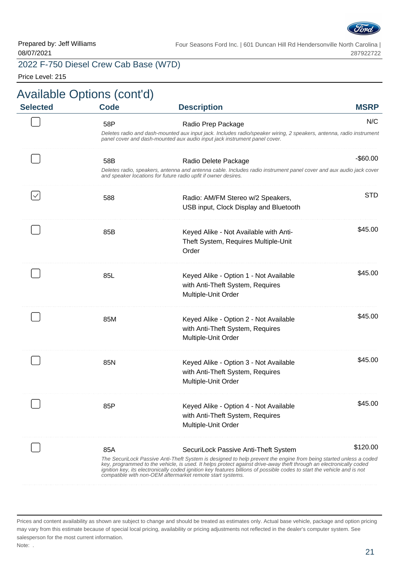

#### 2022 F-750 Diesel Crew Cab Base (W7D)

Price Level: 215

| <b>MSRP</b> | <b>Description</b>                                                                                                                                                                                                                                                                                                                                                                                                              | <b>Code</b> | <b>Selected</b> |
|-------------|---------------------------------------------------------------------------------------------------------------------------------------------------------------------------------------------------------------------------------------------------------------------------------------------------------------------------------------------------------------------------------------------------------------------------------|-------------|-----------------|
| N/C         | Radio Prep Package                                                                                                                                                                                                                                                                                                                                                                                                              | 58P         |                 |
|             | Deletes radio and dash-mounted aux input jack. Includes radio/speaker wiring, 2 speakers, antenna, radio instrument<br>panel cover and dash-mounted aux audio input jack instrument panel cover.                                                                                                                                                                                                                                |             |                 |
| $-$ \$60.00 | Radio Delete Package                                                                                                                                                                                                                                                                                                                                                                                                            | 58B         |                 |
|             | Deletes radio, speakers, antenna and antenna cable. Includes radio instrument panel cover and aux audio jack cover<br>and speaker locations for future radio upfit if owner desires.                                                                                                                                                                                                                                            |             |                 |
| STD.        | Radio: AM/FM Stereo w/2 Speakers,                                                                                                                                                                                                                                                                                                                                                                                               | 588         | $\checkmark$    |
|             | USB input, Clock Display and Bluetooth                                                                                                                                                                                                                                                                                                                                                                                          |             |                 |
| \$45.00     | Keyed Alike - Not Available with Anti-                                                                                                                                                                                                                                                                                                                                                                                          | 85B         |                 |
|             | Theft System, Requires Multiple-Unit                                                                                                                                                                                                                                                                                                                                                                                            |             |                 |
|             | Order                                                                                                                                                                                                                                                                                                                                                                                                                           |             |                 |
| \$45.00     | Keyed Alike - Option 1 - Not Available                                                                                                                                                                                                                                                                                                                                                                                          | 85L         |                 |
|             | with Anti-Theft System, Requires                                                                                                                                                                                                                                                                                                                                                                                                |             |                 |
|             | Multiple-Unit Order                                                                                                                                                                                                                                                                                                                                                                                                             |             |                 |
| \$45.00     | Keyed Alike - Option 2 - Not Available                                                                                                                                                                                                                                                                                                                                                                                          | 85M         |                 |
|             | with Anti-Theft System, Requires                                                                                                                                                                                                                                                                                                                                                                                                |             |                 |
|             | Multiple-Unit Order                                                                                                                                                                                                                                                                                                                                                                                                             |             |                 |
| \$45.00     | Keyed Alike - Option 3 - Not Available                                                                                                                                                                                                                                                                                                                                                                                          | 85N         |                 |
|             | with Anti-Theft System, Requires                                                                                                                                                                                                                                                                                                                                                                                                |             |                 |
|             | Multiple-Unit Order                                                                                                                                                                                                                                                                                                                                                                                                             |             |                 |
| \$45.00     | Keyed Alike - Option 4 - Not Available                                                                                                                                                                                                                                                                                                                                                                                          | 85P         |                 |
|             | with Anti-Theft System, Requires                                                                                                                                                                                                                                                                                                                                                                                                |             |                 |
|             | Multiple-Unit Order                                                                                                                                                                                                                                                                                                                                                                                                             |             |                 |
| \$120.00    | SecuriLock Passive Anti-Theft System                                                                                                                                                                                                                                                                                                                                                                                            | 85A         |                 |
|             | The SecuriLock Passive Anti-Theft System is designed to help prevent the engine from being started unless a coded<br>key, programmed to the vehicle, is used. It helps protect against drive-away theft through an electronically coded<br>ignition key, its electronically coded ignition key features billions of possible codes to start the vehicle and is not<br>compatible with non-OEM aftermarket remote start systems. |             |                 |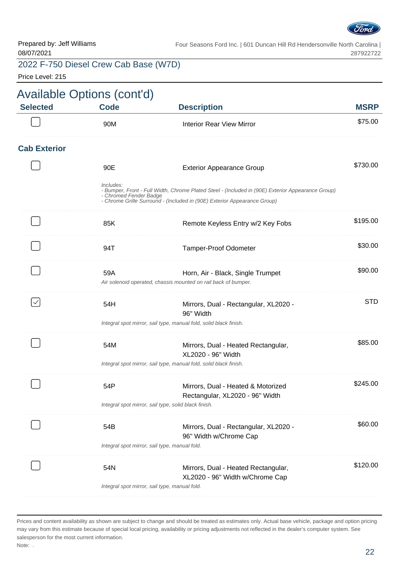

Price Level: 215

| <b>MSRP</b> | <b>Description</b>                                                                                                                                                            | <b>Available Options (cont'd)</b><br><b>Selected</b><br><b>Code</b> |  |
|-------------|-------------------------------------------------------------------------------------------------------------------------------------------------------------------------------|---------------------------------------------------------------------|--|
| \$75.00     | <b>Interior Rear View Mirror</b>                                                                                                                                              | 90M                                                                 |  |
|             |                                                                                                                                                                               | <b>Cab Exterior</b>                                                 |  |
| \$730.00    | <b>Exterior Appearance Group</b>                                                                                                                                              | 90E                                                                 |  |
|             | - Bumper, Front - Full Width, Chrome Plated Steel - (Included in (90E) Exterior Appearance Group)<br>- Chrome Grille Surround - (Included in (90E) Exterior Appearance Group) | Includes:<br>- Chromed Fender Badge                                 |  |
| \$195.00    | Remote Keyless Entry w/2 Key Fobs                                                                                                                                             | 85K                                                                 |  |
| \$30.00     | Tamper-Proof Odometer                                                                                                                                                         | 94T                                                                 |  |
| \$90.00     | Horn, Air - Black, Single Trumpet<br>Air solenoid operated, chassis mounted on rail back of bumper.                                                                           | 59A                                                                 |  |
| <b>STD</b>  | Mirrors, Dual - Rectangular, XL2020 -<br>96" Width                                                                                                                            | 54H                                                                 |  |
|             | Integral spot mirror, sail type, manual fold, solid black finish.                                                                                                             |                                                                     |  |
| \$85.00     | Mirrors, Dual - Heated Rectangular,<br>XL2020 - 96" Width                                                                                                                     | 54M                                                                 |  |
|             | Integral spot mirror, sail type, manual fold, solid black finish.                                                                                                             |                                                                     |  |
| \$245.00    | Mirrors, Dual - Heated & Motorized<br>Rectangular, XL2020 - 96" Width                                                                                                         | 54P                                                                 |  |
|             | Integral spot mirror, sail type, solid black finish.                                                                                                                          |                                                                     |  |
| \$60.00     | Mirrors, Dual - Rectangular, XL2020 -<br>96" Width w/Chrome Cap                                                                                                               | 54B                                                                 |  |
|             | Integral spot mirror, sail type, manual fold.                                                                                                                                 |                                                                     |  |
| \$120.00    | Mirrors, Dual - Heated Rectangular,<br>XL2020 - 96" Width w/Chrome Cap<br>Integral spot mirror, sail type, manual fold.                                                       | 54N                                                                 |  |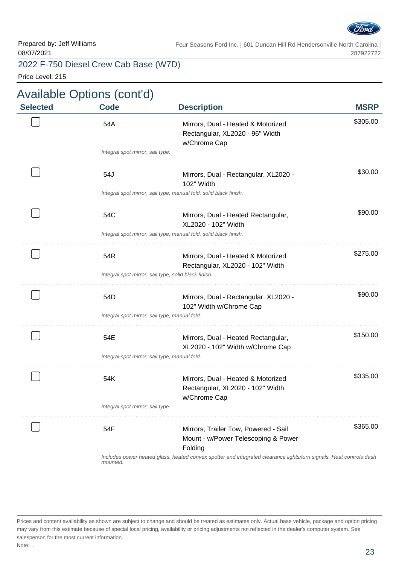

Price Level: 215

| <b>Code</b> | <b>Description</b>                                                                    | <b>MSRP</b>                                                                                                                                                                                                                                                                                                                                                                                                                                                                                                                |
|-------------|---------------------------------------------------------------------------------------|----------------------------------------------------------------------------------------------------------------------------------------------------------------------------------------------------------------------------------------------------------------------------------------------------------------------------------------------------------------------------------------------------------------------------------------------------------------------------------------------------------------------------|
| 54A         | Mirrors, Dual - Heated & Motorized<br>Rectangular, XL2020 - 96" Width<br>w/Chrome Cap | \$305.00                                                                                                                                                                                                                                                                                                                                                                                                                                                                                                                   |
|             |                                                                                       |                                                                                                                                                                                                                                                                                                                                                                                                                                                                                                                            |
| 54J         | Mirrors, Dual - Rectangular, XL2020 -<br>102" Width                                   | \$30.00                                                                                                                                                                                                                                                                                                                                                                                                                                                                                                                    |
|             |                                                                                       |                                                                                                                                                                                                                                                                                                                                                                                                                                                                                                                            |
| 54C         | Mirrors, Dual - Heated Rectangular,<br>XL2020 - 102" Width                            | \$90.00                                                                                                                                                                                                                                                                                                                                                                                                                                                                                                                    |
|             |                                                                                       |                                                                                                                                                                                                                                                                                                                                                                                                                                                                                                                            |
| 54R         | Mirrors, Dual - Heated & Motorized<br>Rectangular, XL2020 - 102" Width                | \$275.00                                                                                                                                                                                                                                                                                                                                                                                                                                                                                                                   |
|             |                                                                                       |                                                                                                                                                                                                                                                                                                                                                                                                                                                                                                                            |
| 54D         | Mirrors, Dual - Rectangular, XL2020 -<br>102" Width w/Chrome Cap                      | \$90.00                                                                                                                                                                                                                                                                                                                                                                                                                                                                                                                    |
|             |                                                                                       |                                                                                                                                                                                                                                                                                                                                                                                                                                                                                                                            |
| 54E         | Mirrors, Dual - Heated Rectangular,<br>XL2020 - 102" Width w/Chrome Cap               | \$150.00                                                                                                                                                                                                                                                                                                                                                                                                                                                                                                                   |
|             |                                                                                       |                                                                                                                                                                                                                                                                                                                                                                                                                                                                                                                            |
| 54K         | Mirrors, Dual - Heated & Motorized<br>Rectangular, XL2020 - 102" Width                | \$335.00                                                                                                                                                                                                                                                                                                                                                                                                                                                                                                                   |
|             |                                                                                       |                                                                                                                                                                                                                                                                                                                                                                                                                                                                                                                            |
| 54F         | Mirrors, Trailer Tow, Powered - Sail<br>Mount - w/Power Telescoping & Power           | \$365.00                                                                                                                                                                                                                                                                                                                                                                                                                                                                                                                   |
| mounted.    |                                                                                       |                                                                                                                                                                                                                                                                                                                                                                                                                                                                                                                            |
|             |                                                                                       | Integral spot mirror, sail type.<br>Integral spot mirror, sail type, manual fold, solid black finish.<br>Integral spot mirror, sail type, manual fold, solid black finish.<br>Integral spot mirror, sail type, solid black finish.<br>Integral spot mirror, sail type, manual fold.<br>Integral spot mirror, sail type, manual fold.<br>w/Chrome Cap<br>Integral spot mirror, sail type.<br>Folding<br>Includes power heated glass, heated convex spotter and integrated clearance lights/turn signals. Heat controls dash |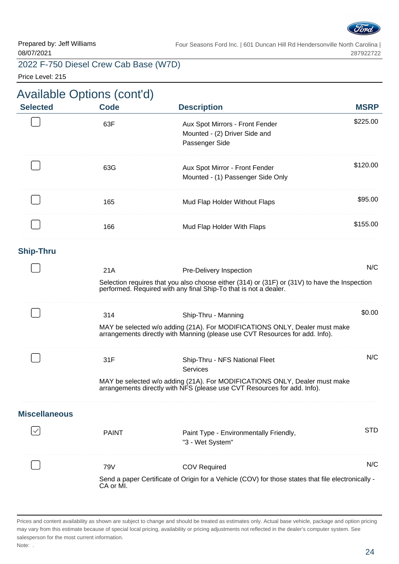

Price Level: 215

# Available Options (cont'd)

| <b>Selected</b>      | <b>Code</b>                                                                                                                                                       | <b>Description</b>                                                                                                                                         | <b>MSRP</b> |  |
|----------------------|-------------------------------------------------------------------------------------------------------------------------------------------------------------------|------------------------------------------------------------------------------------------------------------------------------------------------------------|-------------|--|
|                      | 63F                                                                                                                                                               | Aux Spot Mirrors - Front Fender<br>Mounted - (2) Driver Side and<br>Passenger Side                                                                         | \$225.00    |  |
|                      | 63G                                                                                                                                                               | Aux Spot Mirror - Front Fender<br>Mounted - (1) Passenger Side Only                                                                                        | \$120.00    |  |
|                      | 165                                                                                                                                                               | Mud Flap Holder Without Flaps                                                                                                                              | \$95.00     |  |
|                      | 166                                                                                                                                                               | Mud Flap Holder With Flaps                                                                                                                                 | \$155.00    |  |
| <b>Ship-Thru</b>     |                                                                                                                                                                   |                                                                                                                                                            |             |  |
|                      | 21A                                                                                                                                                               | Pre-Delivery Inspection                                                                                                                                    | N/C         |  |
|                      | Selection requires that you also choose either (314) or (31F) or (31V) to have the Inspection<br>performed. Required with any final Ship-To that is not a dealer. |                                                                                                                                                            |             |  |
|                      | 314                                                                                                                                                               | Ship-Thru - Manning                                                                                                                                        | \$0.00      |  |
|                      |                                                                                                                                                                   | MAY be selected w/o adding (21A). For MODIFICATIONS ONLY, Dealer must make<br>arrangements directly with Manning (please use CVT Resources for add. Info). |             |  |
|                      | 31F                                                                                                                                                               | Ship-Thru - NFS National Fleet<br>Services                                                                                                                 | N/C         |  |
|                      |                                                                                                                                                                   | MAY be selected w/o adding (21A). For MODIFICATIONS ONLY, Dealer must make<br>arrangements directly with NFS (please use CVT Resources for add. Info).     |             |  |
| <b>Miscellaneous</b> |                                                                                                                                                                   |                                                                                                                                                            |             |  |
|                      | <b>PAINT</b>                                                                                                                                                      | Paint Type - Environmentally Friendly,<br>"3 - Wet System"                                                                                                 | <b>STD</b>  |  |
|                      | 79V                                                                                                                                                               | <b>COV Required</b>                                                                                                                                        | N/C         |  |
|                      | CA or MI.                                                                                                                                                         | Send a paper Certificate of Origin for a Vehicle (COV) for those states that file electronically -                                                         |             |  |

Prices and content availability as shown are subject to change and should be treated as estimates only. Actual base vehicle, package and option pricing may vary from this estimate because of special local pricing, availability or pricing adjustments not reflected in the dealer's computer system. See salesperson for the most current information. Note: .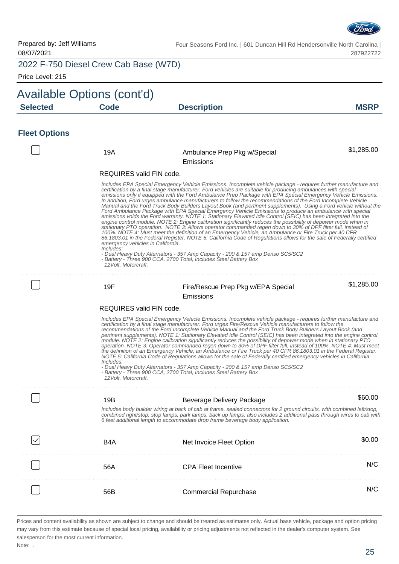

Price Level: 215

|                      | Available Options (cont'd)                                             |                                                                                                                                                                                                                                                                                                                                                                                                                                                                                                                                                                                                                                                                                                                                                                                                                                                                                                                                                                                                                                                                                                                                                                                                                                                                                                                                                                                                                                                   |             |  |
|----------------------|------------------------------------------------------------------------|---------------------------------------------------------------------------------------------------------------------------------------------------------------------------------------------------------------------------------------------------------------------------------------------------------------------------------------------------------------------------------------------------------------------------------------------------------------------------------------------------------------------------------------------------------------------------------------------------------------------------------------------------------------------------------------------------------------------------------------------------------------------------------------------------------------------------------------------------------------------------------------------------------------------------------------------------------------------------------------------------------------------------------------------------------------------------------------------------------------------------------------------------------------------------------------------------------------------------------------------------------------------------------------------------------------------------------------------------------------------------------------------------------------------------------------------------|-------------|--|
| <b>Selected</b>      | <b>Code</b>                                                            | <b>Description</b>                                                                                                                                                                                                                                                                                                                                                                                                                                                                                                                                                                                                                                                                                                                                                                                                                                                                                                                                                                                                                                                                                                                                                                                                                                                                                                                                                                                                                                | <b>MSRP</b> |  |
| <b>Fleet Options</b> |                                                                        |                                                                                                                                                                                                                                                                                                                                                                                                                                                                                                                                                                                                                                                                                                                                                                                                                                                                                                                                                                                                                                                                                                                                                                                                                                                                                                                                                                                                                                                   |             |  |
|                      | 19A                                                                    | Ambulance Prep Pkg w/Special<br>Emissions                                                                                                                                                                                                                                                                                                                                                                                                                                                                                                                                                                                                                                                                                                                                                                                                                                                                                                                                                                                                                                                                                                                                                                                                                                                                                                                                                                                                         | \$1,285.00  |  |
|                      | REQUIRES valid FIN code.                                               |                                                                                                                                                                                                                                                                                                                                                                                                                                                                                                                                                                                                                                                                                                                                                                                                                                                                                                                                                                                                                                                                                                                                                                                                                                                                                                                                                                                                                                                   |             |  |
|                      | emergency vehicles in California.<br>Includes:<br>12 Volt. Motorcraft. | Includes EPA Special Emergency Vehicle Emissions. Incomplete vehicle package - requires further manufacture and<br>certification by a final stage manufacturer. Ford vehicles are suitable for producing ambulances with special<br>emissions only if equipped with the Ford Ambulance Prep Package with EPA Special Emergency Vehicle Emissions.<br>In addition, Ford urges ambulance manufacturers to follow the recommendations of the Ford Incomplete Vehicle<br>Manual and the Ford Truck Body Builders Layout Book (and pertinent supplements). Using a Ford vehicle without the<br>Ford Ambulance Package with EPA Special Emergency Vehicle Emissions to produce an ambulance with special<br>emissions voids the Ford warranty. NOTE 1: Stationary Elevated Idle Control (SEIC) has been integrated into the<br>engine control module. NOTE 2: Engine calibration significantly reduces the possibility of depower mode when in<br>stationary PTO operation. NOTE 3. Allows operator commanded regen down to 30% of DPF filter full, instead of<br>100%. NOTE 4: Must meet the definition of an Emergency Vehicle, an Ambulance or Fire Truck per 40 CFR<br>86.1803.01 in the Federal Register. NOTE 5: California Code of Regulations allows for the sale of Federally certified<br>- Dual Heavy Duty Alternators - 357 Amp Capacity - 200 & 157 amp Denso SC5/SC2<br>- Battery - Three 900 CCA, 2700 Total, Includes Steel Battery Box |             |  |
|                      | 19F                                                                    | Fire/Rescue Prep Pkg w/EPA Special<br>Emissions                                                                                                                                                                                                                                                                                                                                                                                                                                                                                                                                                                                                                                                                                                                                                                                                                                                                                                                                                                                                                                                                                                                                                                                                                                                                                                                                                                                                   | \$1,285.00  |  |
|                      | REQUIRES valid FIN code.                                               |                                                                                                                                                                                                                                                                                                                                                                                                                                                                                                                                                                                                                                                                                                                                                                                                                                                                                                                                                                                                                                                                                                                                                                                                                                                                                                                                                                                                                                                   |             |  |
|                      | Includes:<br>12 Volt, Motorcraft.                                      | Includes EPA Special Emergency Vehicle Emissions. Incomplete vehicle package - requires further manufacture and<br>certification by a final stage manufacturer. Ford urges Fire/Rescue Vehicle manufacturers to follow the<br>recommendations of the Ford Incomplete Vehicle Manual and the Ford Truck Body Builders Layout Book (and<br>pertinent supplements). NOTE 1: Stationary Elevated Idle Control (SEIC) has been integrated into the engine control<br>module. NOTE 2: Engine calibration significantly reduces the possibility of depower mode when in stationary PTO<br>operation. NOTE 3: Operator commanded regen down to 30% of DPF filter full, instead of 100%. NOTE 4: Must meet<br>the definition of an Emergency Vehicle, an Ambulance or Fire Truck per 40 CFR 86.1803.01 in the Federal Register.<br>NOTE 5: California Code of Regulations allows for the sale of Federally certified emergency vehicles in California.<br>- Dual Heavy Duty Alternators - 357 Amp Capacity - 200 & 157 amp Denso SC5/SC2<br>- Battery - Three 900 CCA, 2700 Total, Includes Steel Battery Box                                                                                                                                                                                                                                                                                                                                              |             |  |
|                      |                                                                        |                                                                                                                                                                                                                                                                                                                                                                                                                                                                                                                                                                                                                                                                                                                                                                                                                                                                                                                                                                                                                                                                                                                                                                                                                                                                                                                                                                                                                                                   |             |  |
|                      | 19B                                                                    | <b>Beverage Delivery Package</b>                                                                                                                                                                                                                                                                                                                                                                                                                                                                                                                                                                                                                                                                                                                                                                                                                                                                                                                                                                                                                                                                                                                                                                                                                                                                                                                                                                                                                  | \$60.00     |  |
|                      |                                                                        | Includes body builder wiring at back of cab at frame, sealed connectors for 2 ground circuits, with combined left/stop,<br>combined right/stop, stop lamps, park lamps, back up lamps, also includes 2 additional pass through wires to cab with<br>6 feet additional length to accommodate drop frame beverage body application.                                                                                                                                                                                                                                                                                                                                                                                                                                                                                                                                                                                                                                                                                                                                                                                                                                                                                                                                                                                                                                                                                                                 |             |  |
|                      | B <sub>4</sub> A                                                       | Net Invoice Fleet Option                                                                                                                                                                                                                                                                                                                                                                                                                                                                                                                                                                                                                                                                                                                                                                                                                                                                                                                                                                                                                                                                                                                                                                                                                                                                                                                                                                                                                          | \$0.00      |  |
|                      | 56A                                                                    | <b>CPA Fleet Incentive</b>                                                                                                                                                                                                                                                                                                                                                                                                                                                                                                                                                                                                                                                                                                                                                                                                                                                                                                                                                                                                                                                                                                                                                                                                                                                                                                                                                                                                                        | N/C         |  |
|                      | 56B                                                                    | <b>Commercial Repurchase</b>                                                                                                                                                                                                                                                                                                                                                                                                                                                                                                                                                                                                                                                                                                                                                                                                                                                                                                                                                                                                                                                                                                                                                                                                                                                                                                                                                                                                                      | N/C         |  |